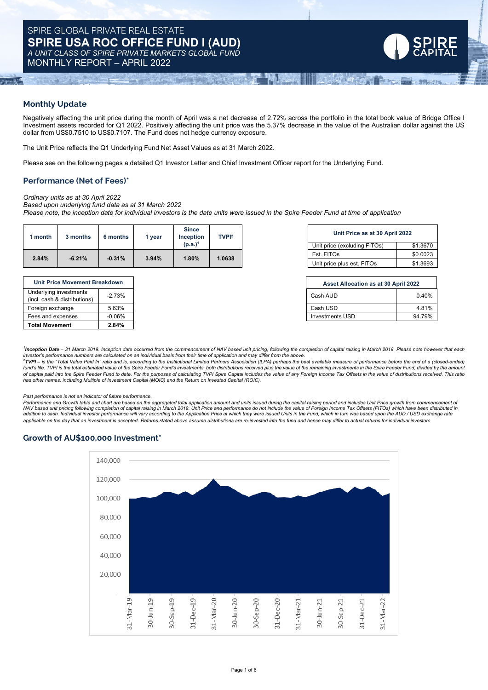# **Monthly Update**

Negatively affecting the unit price during the month of April was a net decrease of 2.72% across the portfolio in the total book value of Bridge Office I Investment assets recorded for Q1 2022. Positively affecting the unit price was the 5.37% decrease in the value of the Australian dollar against the US dollar from US\$0.7510 to US\$0.7107. The Fund does not hedge currency exposure.

The Unit Price reflects the Q1 Underlying Fund Net Asset Values as at 31 March 2022.

Please see on the following pages a detailed Q1 Investor Letter and Chief Investment Officer report for the Underlying Fund.

# **Performance (Net of Fees)\***

*Ordinary units as at 30 April 2022 Based upon underlying fund data as at 31 March 2022*

Please note, the inception date for individual investors is the date units were issued in the Spire Feeder Fund at time of application

| month | 3 months | 6 months | vear           | <b>Since</b><br><b>Inception</b> | TVP <sub>12</sub> |                              | Unit Price as at 30 April 2022 |                            |
|-------|----------|----------|----------------|----------------------------------|-------------------|------------------------------|--------------------------------|----------------------------|
|       |          |          |                | (p.a.) <sup>1</sup>              |                   | Unit price (excluding FITOs) | \$1,3670                       |                            |
| 2.84% | $-6.21%$ | $-0.31%$ | 1.80%<br>3.94% |                                  | .0638             | Est. FITOs                   | \$0,0023                       |                            |
|       |          |          |                |                                  |                   |                              |                                | Unit price plus est. FITOs |

| <b>Unit Price Movement Breakdown</b> |          |  |  |  |
|--------------------------------------|----------|--|--|--|
| Underlying investments               | $-2.73%$ |  |  |  |
| (incl. cash & distributions)         |          |  |  |  |
| Foreign exchange                     | 5.63%    |  |  |  |
| Fees and expenses                    | $-0.06%$ |  |  |  |
| <b>Total Movement</b>                | 2.84%    |  |  |  |

| TVP <sub>12</sub> | Unit Price as at 30 April 2022 |          |  |
|-------------------|--------------------------------|----------|--|
|                   | Unit price (excluding FITOs)   | \$1,3670 |  |
| 1.0638            | Est. FITOs                     | \$0.0023 |  |
|                   | Unit price plus est. FITOs     | \$1.3693 |  |

**SACHER** 

| Unit Price Movement Breakdown                          |           |
|--------------------------------------------------------|-----------|
| Underlying investments<br>(incl. cash & distributions) | $-2.73%$  |
| Foreign exchange                                       | 5.63%     |
| Fees and expenses                                      | $-0.06\%$ |
|                                                        |           |

<sup>1</sup>Inception Date - 31 March 2019. Inception date occurred from the commencement of NAV based unit pricing, following the completion of capital raising in March 2019. Please note however that each

investor's performance numbers are calculated on an individual basis from their time of application and may differ from the above.<br><sup>2</sup>TVPI – is the "Total Value Paid In" ratio and is, according to the Institutional Limited fund's life. TVPI is the total estimated value of the Spire Feeder Fund's investments, both distributions received plus the value of the remaining investments in the Spire Feeder Fund, divided by the amount of capital paid into the Spire Feeder Fund to date. For the purposes of calculating TVPI Spire Capital includes the value of any Foreign Income Tax Offsets in the value of distributions received. This ratio *has other names, including Multiple of Investment Capital (MOIC) and the Return on Invested Capital (ROIC).*

*Past performance is not an indicator of future performance.*

Performance and Growth table and chart are based on the aggregated total application amount and units issued during the capital raising period and includes Unit Price growth from commencement of NAV based unit pricing following completion of capital raising in March 2019. Unit Price and performance do not include the value of Foreign Income Tax Offsets (FITOs) which have been distributed ir.<br>addition to cash. Indi applicable on the day that an investment is accepted. Returns stated above assume distributions are re-invested into the fund and hence may differ to actual returns for individual investors

# **Growth of AU\$100,000 Investment\***

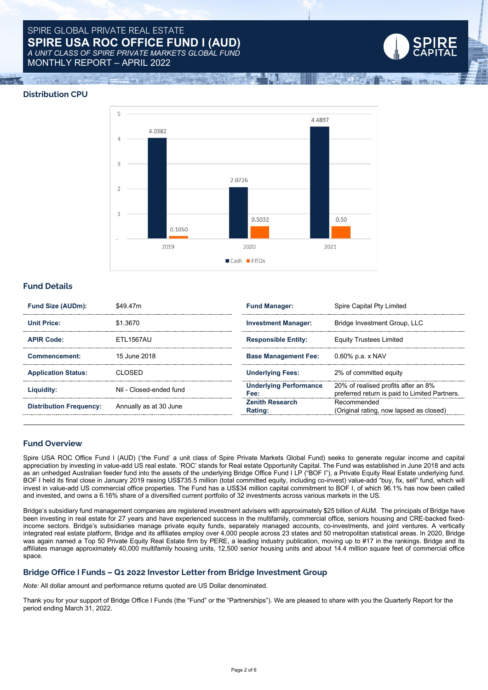# SPIRE GLOBAL PRIVATE REAL ESTATE **SPIRE USA ROC OFFICE FUND I (AUD)** *A UNIT CLASS OF SPIRE PRIVATE MARKETS GLOBAL FUND* MONTHLY REPORT – APRIL 2022





**SATIREM** 

# **Fund Details**

| Fund Size (AUDm):              | \$49.47m                | <b>Fund Manager:</b>           | Spire Capital Pty Limited                                                           |  |
|--------------------------------|-------------------------|--------------------------------|-------------------------------------------------------------------------------------|--|
| <b>Unit Price:</b>             | \$1.3670                | <b>Investment Manager:</b>     | Bridge Investment Group, LLC                                                        |  |
| <b>APIR Code:</b>              | <b>FTI 1567AU</b>       | <b>Responsible Entity:</b>     | <b>Equity Trustees Limited</b>                                                      |  |
| Commencement:                  | 15 June 2018            | <b>Base Management Fee:</b>    | 0.60% p.a. x NAV                                                                    |  |
| <b>Application Status:</b>     | CI OSED                 | <b>Underlying Fees:</b>        | 2% of committed equity                                                              |  |
| Liquidity:                     | Nil - Closed-ended fund | Underlying Performance<br>Fee: | 20% of realised profits after an 8%<br>preferred return is paid to Limited Partners |  |
| <b>Distribution Frequency:</b> | Annually as at 30 June  | Zenith Research<br>Rating:     | Recommended<br>(Original rating, now lapsed as closed                               |  |

# **Fund Overview**

Spire USA ROC Office Fund I (AUD) ('the Fund' a unit class of Spire Private Markets Global Fund) seeks to generate regular income and capital appreciation by investing in value-add US real estate. 'ROC' stands for Real estate Opportunity Capital. The Fund was established in June 2018 and acts as an unhedged Australian feeder fund into the assets of the underlying Bridge Office Fund I LP ("BOF I"), a Private Equity Real Estate underlying fund. BOF I held its final close in January 2019 raising US\$735.5 million (total committed equity, including co-invest) value-add "buy, fix, sell" fund, which will invest in value-add US commercial office properties. The Fund has a US\$34 million capital commitment to BOF I, of which 96.1% has now been called and invested, and owns a 6.16% share of a diversified current portfolio of 32 investments across various markets in the US.

Bridge's subsidiary fund management companies are registered investment advisers with approximately \$25 billion of AUM. The principals of Bridge have been investing in real estate for 27 years and have experienced success in the multifamily, commercial office, seniors housing and CRE-backed fixedincome sectors. Bridge's subsidiaries manage private equity funds, separately managed accounts, co-investments, and joint ventures. A vertically integrated real estate platform, Bridge and its affiliates employ over 4,000 people across 23 states and 50 metropolitan statistical areas. In 2020, Bridge was again named a Top 50 Private Equity Real Estate firm by PERE, a leading industry publication, moving up to #17 in the rankings. Bridge and its affiliates manage approximately 40,000 multifamily housing units, 12,500 senior housing units and about 14.4 million square feet of commercial office space.

# **Bridge Office I Funds – Q1 2022 Investor Letter from Bridge Investment Group**

*Note:* All dollar amount and performance returns quoted are US Dollar denominated.

Thank you for your support of Bridge Office I Funds (the "Fund" or the "Partnerships"). We are pleased to share with you the Quarterly Report for the period ending March 31, 2022.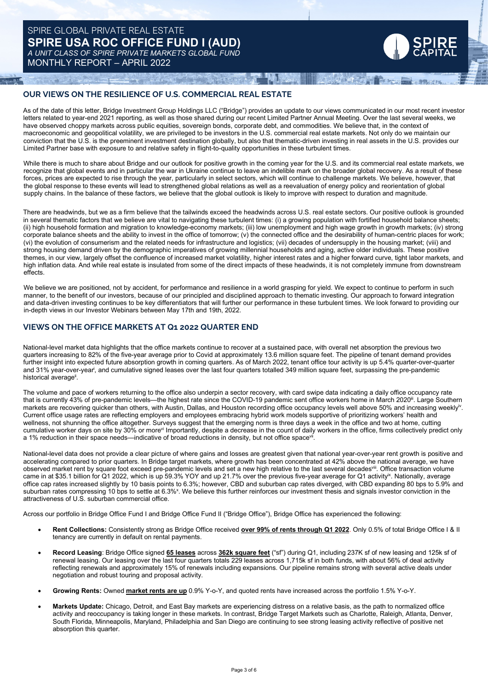# **OUR VIEWS ON THE RESILIENCE OF U.S. COMMERCIAL REAL ESTATE**

As of the date of this letter, Bridge Investment Group Holdings LLC ("Bridge") provides an update to our views communicated in our most recent investor letters related to year-end 2021 reporting, as well as those shared during our recent Limited Partner Annual Meeting. Over the last several weeks, we have observed choppy markets across public equities, sovereign bonds, corporate debt, and commodities. We believe that, in the context of macroeconomic and geopolitical volatility, we are privileged to be investors in the U.S. commercial real estate markets. Not only do we maintain our conviction that the U.S. is the preeminent investment destination globally, but also that thematic-driven investing in real assets in the U.S. provides our Limited Partner base with exposure to and relative safety in flight-to-quality opportunities in these turbulent times.

UTAL TENRESA)

**ARTIFLE COMMENTS** 

While there is much to share about Bridge and our outlook for positive growth in the coming year for the U.S. and its commercial real estate markets, we recognize that global events and in particular the war in Ukraine continue to leave an indelible mark on the broader global recovery. As a result of these forces, prices are expected to rise through the year, particularly in select sectors, which will continue to challenge markets. We believe, however, that the global response to these events will lead to strengthened global relations as well as a reevaluation of energy policy and reorientation of global supply chains. In the balance of these factors, we believe that the global outlook is likely to improve with respect to duration and magnitude.

There are headwinds, but we as a firm believe that the tailwinds exceed the headwinds across U.S. real estate sectors. Our positive outlook is grounded in several thematic factors that we believe are vital to navigating these turbulent times: (i) a growing population with fortified household balance sheets; (ii) high household formation and migration to knowledge-economy markets; (iii) low unemployment and high wage growth in growth markets; (iv) strong corporate balance sheets and the ability to invest in the office of tomorrow;  $(v)$  the connected office and the desirability of human-centric places for work; (vi) the evolution of consumerism and the related needs for infrastructure and logistics; (vii) decades of undersupply in the housing market; (viii) and strong housing demand driven by the demographic imperatives of growing millennial households and aging, active older individuals. These positive themes, in our view, largely offset the confluence of increased market volatility, higher interest rates and a higher forward curve, tight labor markets, and high inflation data. And while real estate is insulated from some of the direct impacts of these headwinds, it is not completely immune from downstream effects.

We believe we are positioned, not by accident, for performance and resilience in a world grasping for yield. We expect to continue to perform in such manner, to the benefit of our investors, because of our principled and disciplined approach to thematic investing. Our approach to forward integration and data-driven investing continues to be key differentiators that will further our performance in these turbulent times. We look forward to providing our in-depth views in our Investor Webinars between May 17th and 19th, 2022.

# **VIEWS ON THE OFFICE MARKETS AT Q1 2022 QUARTER END**

National-level market data highlights that the office markets continue to recover at a sustained pace, with overall net absorption the previous two quarters increasing to 82% of the five-year average prior to Covid at approximately 13.6 million square feet. The pipeline of tenant demand provides further insight into expected future absorption growth in coming quarters. As of March 2022, tenant office tour activity is up 5.4% quarter-over-quarter and 31% year-over-year<sup>i</sup>, and cumulative signed leases over the last four quarters totalled 349 million square feet, surpassing the pre-pandemic historical average<sup>ii</sup>.

The volume and pace of workers returning to the office also underpin a sector recovery, with card swipe data indicating a daily office occupancy rate that is currently 43% of pre-pandemic levels—the highest rate since the COVID-19 pandemic sent office workers home in March 2020<sup>ii</sup>. Large Southern markets are recovering quicker than others, with Austin, Dallas, and Houston recording office occupancy levels well above 50% and increasing weekly<sup>v</sup>. Current office usage rates are reflecting employers and employees embracing hybrid work models supportive of prioritizing workers' health and wellness, not shunning the office altogether. Surveys suggest that the emerging norm is three days a week in the office and two at home, cutting cumulative worker days on site by 30% or more<sup>vi</sup> Importantly, despite a decrease in the count of daily workers in the office, firms collectively predict only a 1% reduction in their space needs—indicative of broad reductions in density, but not office space<sup>vii</sup>.

National-level data does not provide a clear picture of where gains and losses are greatest given that national year-over-year rent growth is positive and accelerating compared to prior quarters. In Bridge target markets, where growth has been concentrated at 42% above the national average, we have observed market rent by square foot exceed pre-pandemic levels and set a new high relative to the last several decades<sup>viii</sup>. Office transaction volume came in at \$35.1 billion for Q1 2022, which is up 59.3% YOY and up 21.7% over the previous five-year average for Q1 activity<sup>ix</sup>. Nationally, average office cap rates increased slightly by 10 basis points to 6.3%; however, CBD and suburban cap rates diverged, with CBD expanding 80 bps to 5.9% and suburban rates compressing 10 bps to settle at 6.3%<sup>x</sup>. We believe this further reinforces our investment thesis and signals investor conviction in the attractiveness of U.S. suburban commercial office.

Across our portfolio in Bridge Office Fund I and Bridge Office Fund II ("Bridge Office"), Bridge Office has experienced the following:

- **Rent Collections:** Consistently strong as Bridge Office received **over 99% of rents through Q1 2022**. Only 0.5% of total Bridge Office I & II tenancy are currently in default on rental payments.
- **Record Leasing**: Bridge Office signed **65 leases** across **362k square feet** ("sf") during Q1, including 237K sf of new leasing and 125k sf of renewal leasing. Our leasing over the last four quarters totals 229 leases across 1,715k sf in both funds, with about 56% of deal activity reflecting renewals and approximately 15% of renewals including expansions. Our pipeline remains strong with several active deals under negotiation and robust touring and proposal activity.
- **Growing Rents:** Owned **market rents are up** 0.9% Y-o-Y, and quoted rents have increased across the portfolio 1.5% Y-o-Y.
- **Markets Update:** Chicago, Detroit, and East Bay markets are experiencing distress on a relative basis, as the path to normalized office activity and reoccupancy is taking longer in these markets. In contrast, Bridge Target Markets such as Charlotte, Raleigh, Atlanta, Denver, South Florida, Minneapolis, Maryland, Philadelphia and San Diego are continuing to see strong leasing activity reflective of positive net absorption this quarter.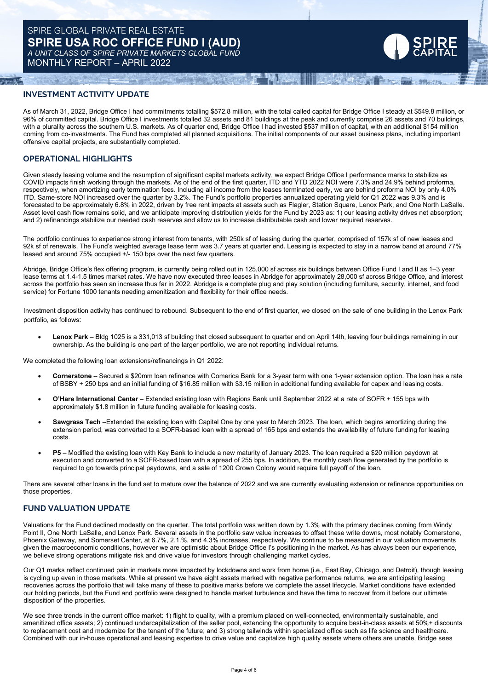# **INVESTMENT ACTIVITY UPDATE**

As of March 31, 2022, Bridge Office I had commitments totalling \$572.8 million, with the total called capital for Bridge Office I steady at \$549.8 million, or 96% of committed capital. Bridge Office I investments totalled 32 assets and 81 buildings at the peak and currently comprise 26 assets and 70 buildings, with a plurality across the southern U.S. markets. As of quarter end, Bridge Office I had invested \$537 million of capital, with an additional \$154 million coming from co-investments. The Fund has completed all planned acquisitions. The initial components of our asset business plans, including important offensive capital projects, are substantially completed.

**THE SACTO** 

## **OPERATIONAL HIGHLIGHTS**

Given steady leasing volume and the resumption of significant capital markets activity, we expect Bridge Office I performance marks to stabilize as COVID impacts finish working through the markets. As of the end of the first quarter, ITD and YTD 2022 NOI were 7.3% and 24.9% behind proforma, respectively, when amortizing early termination fees. Including all income from the leases terminated early, we are behind proforma NOI by only 4.0% ITD. Same-store NOI increased over the quarter by 3.2%. The Fund's portfolio properties annualized operating yield for Q1 2022 was 9.3% and is forecasted to be approximately 6.8% in 2022, driven by free rent impacts at assets such as Flagler, Station Square, Lenox Park, and One North LaSalle. Asset level cash flow remains solid, and we anticipate improving distribution yields for the Fund by 2023 as: 1) our leasing activity drives net absorption; and 2) refinancings stabilize our needed cash reserves and allow us to increase distributable cash and lower required reserves.

The portfolio continues to experience strong interest from tenants, with 250k sf of leasing during the quarter, comprised of 157k sf of new leases and 92k sf of renewals. The Fund's weighted average lease term was 3.7 years at quarter end. Leasing is expected to stay in a narrow band at around 77% leased and around 75% occupied +/- 150 bps over the next few quarters.

Abridge, Bridge Office's flex offering program, is currently being rolled out in 125,000 sf across six buildings between Office Fund I and II as 1–3 year lease terms at 1.4-1.5 times market rates. We have now executed three leases in Abridge for approximately 28,000 sf across Bridge Office, and interest across the portfolio has seen an increase thus far in 2022. Abridge is a complete plug and play solution (including furniture, security, internet, and food service) for Fortune 1000 tenants needing amenitization and flexibility for their office needs.

Investment disposition activity has continued to rebound. Subsequent to the end of first quarter, we closed on the sale of one building in the Lenox Park portfolio, as follows:

• **Lenox Park** – Bldg 1025 is a 331,013 sf building that closed subsequent to quarter end on April 14th, leaving four buildings remaining in our ownership. As the building is one part of the larger portfolio, we are not reporting individual returns.

We completed the following loan extensions/refinancings in Q1 2022:

- **Cornerstone** Secured a \$20mm loan refinance with Comerica Bank for a 3-year term with one 1-year extension option. The loan has a rate of BSBY + 250 bps and an initial funding of \$16.85 million with \$3.15 million in additional funding available for capex and leasing costs.
- **O'Hare International Center** Extended existing loan with Regions Bank until September 2022 at a rate of SOFR + 155 bps with approximately \$1.8 million in future funding available for leasing costs.
- **Sawgrass Tech** –Extended the existing loan with Capital One by one year to March 2023. The loan, which begins amortizing during the extension period, was converted to a SOFR-based loan with a spread of 165 bps and extends the availability of future funding for leasing costs.
- **P5** Modified the existing loan with Key Bank to include a new maturity of January 2023. The loan required a \$20 million paydown at execution and converted to a SOFR-based loan with a spread of 255 bps. In addition, the monthly cash flow generated by the portfolio is required to go towards principal paydowns, and a sale of 1200 Crown Colony would require full payoff of the loan.

There are several other loans in the fund set to mature over the balance of 2022 and we are currently evaluating extension or refinance opportunities on those properties.

## **FUND VALUATION UPDATE**

Valuations for the Fund declined modestly on the quarter. The total portfolio was written down by 1.3% with the primary declines coming from Windy Point II, One North LaSalle, and Lenox Park. Several assets in the portfolio saw value increases to offset these write downs, most notably Cornerstone, Phoenix Gateway, and Somerset Center, at 6.7%, 2.1.%, and 4.3% increases, respectively. We continue to be measured in our valuation movements given the macroeconomic conditions, however we are optimistic about Bridge Office I's positioning in the market. As has always been our experience, we believe strong operations mitigate risk and drive value for investors through challenging market cycles.

Our Q1 marks reflect continued pain in markets more impacted by lockdowns and work from home (i.e., East Bay, Chicago, and Detroit), though leasing is cycling up even in those markets. While at present we have eight assets marked with negative performance returns, we are anticipating leasing recoveries across the portfolio that will take many of these to positive marks before we complete the asset lifecycle. Market conditions have extended our holding periods, but the Fund and portfolio were designed to handle market turbulence and have the time to recover from it before our ultimate disposition of the properties.

We see three trends in the current office market: 1) flight to quality, with a premium placed on well-connected, environmentally sustainable, and amenitized office assets; 2) continued undercapitalization of the seller pool, extending the opportunity to acquire best-in-class assets at 50%+ discounts to replacement cost and modernize for the tenant of the future; and 3) strong tailwinds within specialized office such as life science and healthcare. Combined with our in-house operational and leasing expertise to drive value and capitalize high quality assets where others are unable, Bridge sees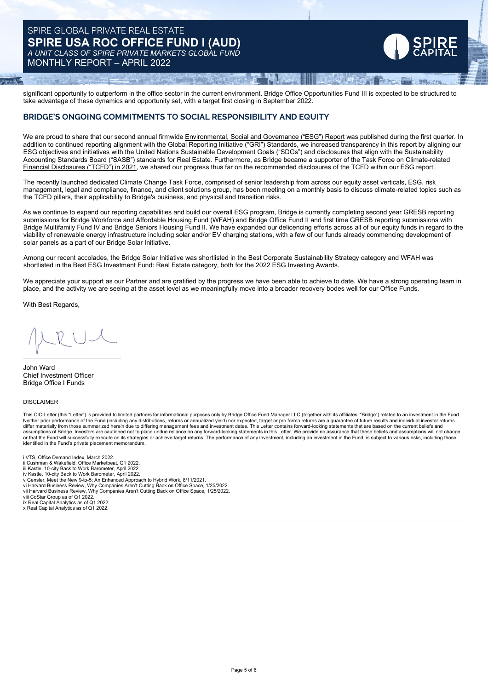# SPIRE GLOBAL PRIVATE REAL ESTATE **SPIRE USA ROC OFFICE FUND I (AUD)** *A UNIT CLASS OF SPIRE PRIVATE MARKETS GLOBAL FUND* MONTHLY REPORT – APRIL 2022

significant opportunity to outperform in the office sector in the current environment. Bridge Office Opportunities Fund III is expected to be structured to take advantage of these dynamics and opportunity set, with a target first closing in September 2022.

2540 That Thomas Shaw

# **BRIDGE'S ONGOING COMMITMENTS TO SOCIAL RESPONSIBILITY AND EQUITY**

We are proud to share that our second annual firmwide Environmental, Social and Governance ("ESG") Report was published during the first quarter. In addition to continued reporting alignment with the Global Reporting Initiative ("GRI") Standards, we increased transparency in this report by aligning our ESG objectives and initiatives with the United Nations Sustainable Development Goals ("SDGs") and disclosures that align with the Sustainability Accounting Standards Board ("SASB") standards for Real Estate. Furthermore, as Bridge became a supporter of the Task Force on Climate-related Financial Disclosures ("TCFD") in 2021, we shared our progress thus far on the recommended disclosures of the TCFD within our ESG report.

The recently launched dedicated Climate Change Task Force, comprised of senior leadership from across our equity asset verticals, ESG, risk management, legal and compliance, finance, and client solutions group, has been meeting on a monthly basis to discuss climate-related topics such as the TCFD pillars, their applicability to Bridge's business, and physical and transition risks.

As we continue to expand our reporting capabilities and build our overall ESG program, Bridge is currently completing second year GRESB reporting submissions for Bridge Workforce and Affordable Housing Fund (WFAH) and Bridge Office Fund II and first time GRESB reporting submissions with Bridge Multifamily Fund IV and Bridge Seniors Housing Fund II. We have expanded our delicencing efforts across all of our equity funds in regard to the viability of renewable energy infrastructure including solar and/or EV charging stations, with a few of our funds already commencing development of solar panels as a part of our Bridge Solar Initiative.

Among our recent accolades, the Bridge Solar Initiative was shortlisted in the Best Corporate Sustainability Strategy category and WFAH was shortlisted in the Best ESG Investment Fund: Real Estate category, both for the 2022 ESG Investing Awards.

We appreciate your support as our Partner and are gratified by the progress we have been able to achieve to date. We have a strong operating team in place, and the activity we are seeing at the asset level as we meaningfully move into a broader recovery bodes well for our Office Funds.

With Best Regards,

John Ward Chief Investment Officer Bridge Office I Funds

#### DISCLAIMER

This CIO Letter (this "Letter") is provided to limited partners for informational purposes only by Bridge Office Fund Manager LLC (together with its affiliates, "Bridge") related to an investment in the Fund. Neither prior performance of the Fund (including any distributions, returns or annualized yield) nor expected, target or pro forma returns are a guarantee of future results and individual investor returns differ materially from those summarized herein due to differing management fees and investment dates. This Letter contains forward-looking statements that are based on the current beliefs and<br>assumptions of Bridge. Investo or that the Fund will successfully execute on its strategies or achieve target returns. The performance of any investment, including an investment in the Fund, is subject to various risks, including those identified in the Fund's private placement memorandum.

i VTS, Office Demand Index, March 2022. ii Cushman & Wakefield, Office Marketbeat, Q1 2022.

iii Kastle, 10-city Back to Work Barometer, April 2022. iv Kastle, 10-city Back to Work Barometer, April 2022.

- 
- v Gensler, Meet the New 9-to-5: An Enhanced Approach to Hybrid Work, 8/11/2021. vi Harvard Business Review, Why Companies Aren't Cutting Back on Office Space, 1/25/2022.
- vii Harvard Business Review, Why Companies Aren't Cutting Back on Office Space, 1/25/2022.
- 

viii CoStar Group as of Q1 2022. ix Real Capital Analytics as of Q1 2022. x Real Capital Analytics as of Q1 2022.